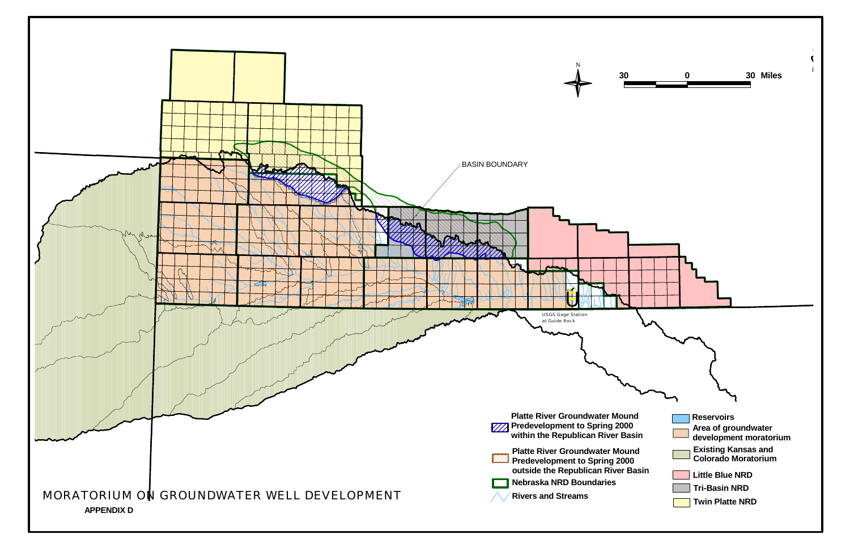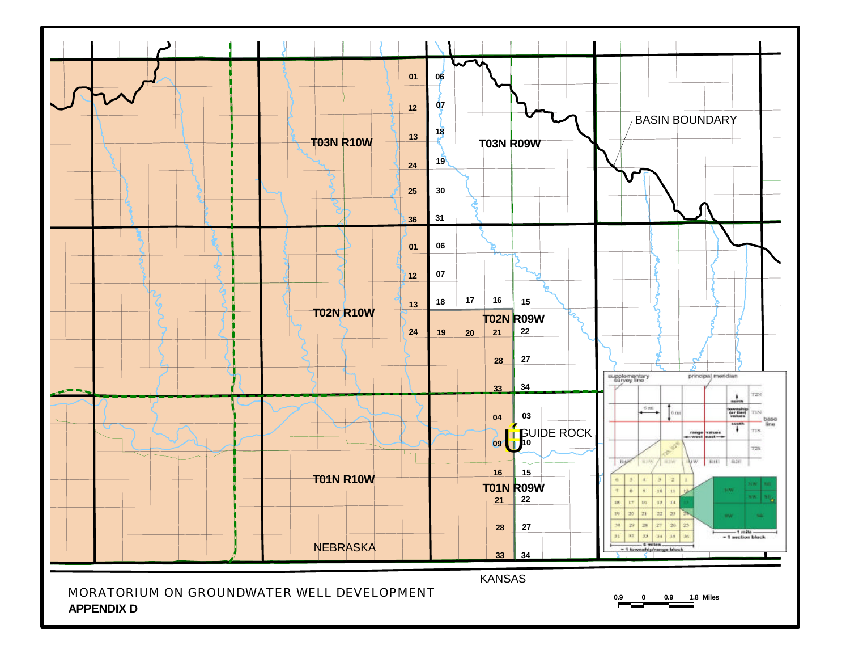